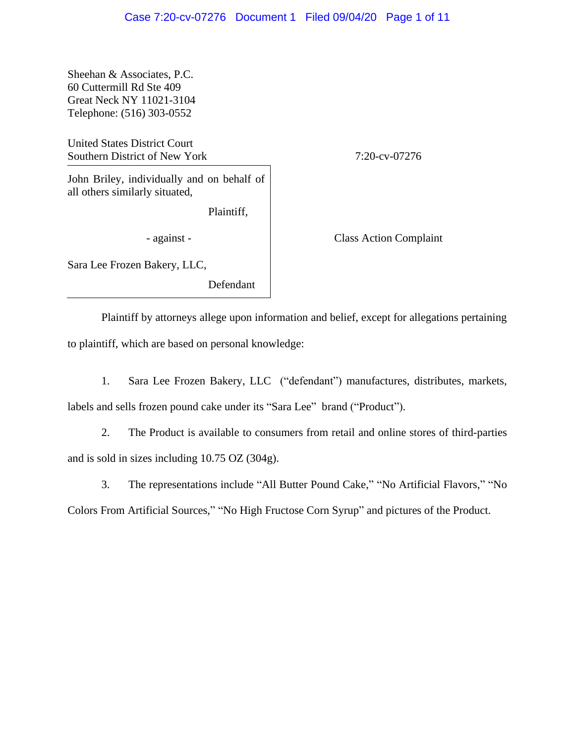Sheehan & Associates, P.C. 60 Cuttermill Rd Ste 409 Great Neck NY 11021-3104 Telephone: (516) 303-0552

United States District Court Southern District of New York 7:20-cv-07276

John Briley, individually and on behalf of all others similarly situated,

Plaintiff,

- against - Class Action Complaint

Sara Lee Frozen Bakery, LLC,

Defendant

Plaintiff by attorneys allege upon information and belief, except for allegations pertaining to plaintiff, which are based on personal knowledge:

1. Sara Lee Frozen Bakery, LLC ("defendant") manufactures, distributes, markets, labels and sells frozen pound cake under its "Sara Lee" brand ("Product").

2. The Product is available to consumers from retail and online stores of third-parties and is sold in sizes including 10.75 OZ (304g).

3. The representations include "All Butter Pound Cake," "No Artificial Flavors," "No

Colors From Artificial Sources," "No High Fructose Corn Syrup" and pictures of the Product.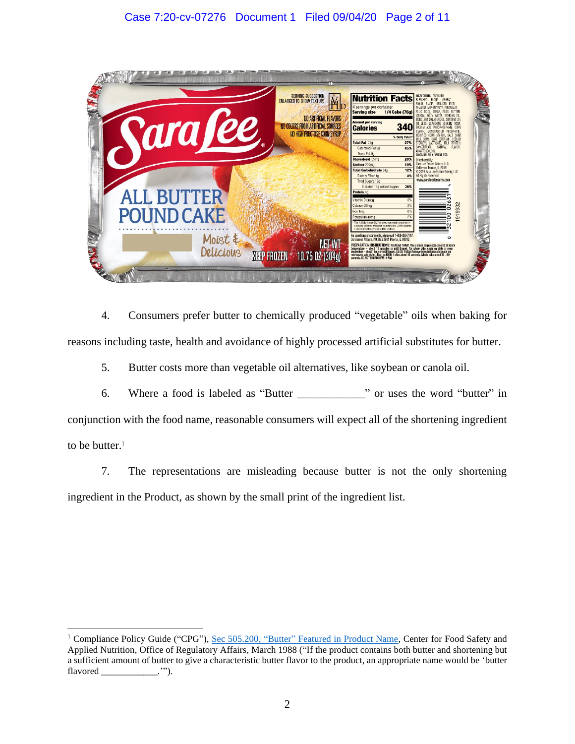

4. Consumers prefer butter to chemically produced "vegetable" oils when baking for reasons including taste, health and avoidance of highly processed artificial substitutes for butter.

5. Butter costs more than vegetable oil alternatives, like soybean or canola oil.

6. Where a food is labeled as "Butter \_\_\_\_\_\_\_\_\_\_\_\_" or uses the word "butter" in conjunction with the food name, reasonable consumers will expect all of the shortening ingredient to be butter. $1$ 

7. The representations are misleading because butter is not the only shortening ingredient in the Product, as shown by the small print of the ingredient list.

<sup>&</sup>lt;sup>1</sup> Compliance Policy Guide ("CPG"), Sec 505.200, "Butter" [Featured in Product Name,](https://www.fda.gov/regulatory-information/search-fda-guidance-documents/cpg-sec-505200-butter-featured-product-name) Center for Food Safety and Applied Nutrition, Office of Regulatory Affairs, March 1988 ("If the product contains both butter and shortening but a sufficient amount of butter to give a characteristic butter flavor to the product, an appropriate name would be 'butter flavored \_\_\_\_\_\_\_\_\_\_\_\_.'").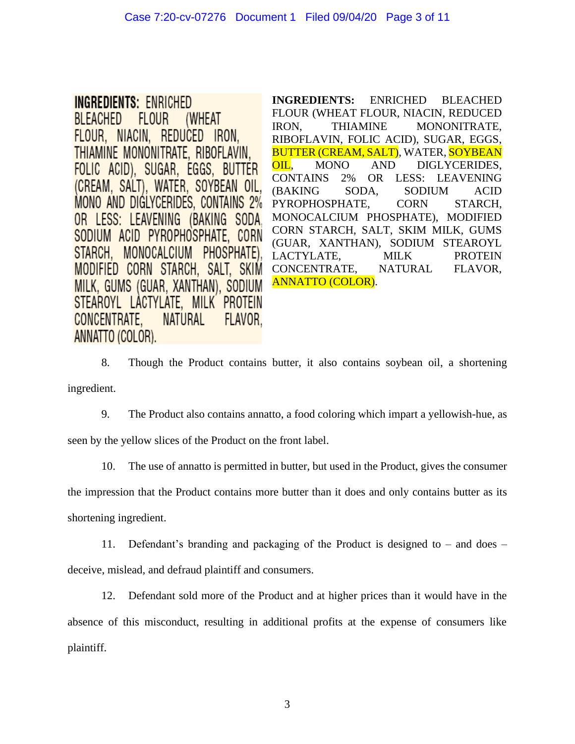**INGREDIENTS: ENRICHED BLEACHED FLOUR** (WHEAT FLOUR, NIACIN, REDUCED IRON, THIAMINE MONONITRATE, RIBOFLAVIN. FOLIC ACID), SUGAR, EGGS, BUTTER (CREAM, SALT), WATER, SOYBEAN OIL, MONO AND DIGLYCERIDES, CONTAINS 2% OR LESS: LEAVENING (BAKING SODA) SODIUM ACID PYROPHOSPHATE, CORN STARCH. MONOCALCIUM PHOSPHATE). MODIFIED CORN STARCH, SALT, SKIM MILK, GUMS (GUAR, XANTHAN), SODIUM STEAROYL LACTYLATE, MILK PROTEIN CONCENTRATE. **NATURAL** FLAVOR. ANNATTO (COLOR).

**INGREDIENTS:** ENRICHED BLEACHED FLOUR (WHEAT FLOUR, NIACIN, REDUCED IRON, THIAMINE MONONITRATE, RIBOFLAVIN, FOLIC ACID), SUGAR, EGGS, BUTTER (CREAM, SALT), WATER, SOYBEAN OIL, MONO AND DIGLYCERIDES, CONTAINS 2% OR LESS: LEAVENING (BAKING SODA, SODIUM ACID PYROPHOSPHATE, CORN STARCH, MONOCALCIUM PHOSPHATE), MODIFIED CORN STARCH, SALT, SKIM MILK, GUMS (GUAR, XANTHAN), SODIUM STEAROYL LACTYLATE, MILK PROTEIN CONCENTRATE, NATURAL FLAVOR, ANNATTO (COLOR).

8. Though the Product contains butter, it also contains soybean oil, a shortening ingredient.

9. The Product also contains annatto, a food coloring which impart a yellowish-hue, as seen by the yellow slices of the Product on the front label.

10. The use of annatto is permitted in butter, but used in the Product, gives the consumer

the impression that the Product contains more butter than it does and only contains butter as its shortening ingredient.

11. Defendant's branding and packaging of the Product is designed to – and does – deceive, mislead, and defraud plaintiff and consumers.

12. Defendant sold more of the Product and at higher prices than it would have in the absence of this misconduct, resulting in additional profits at the expense of consumers like plaintiff.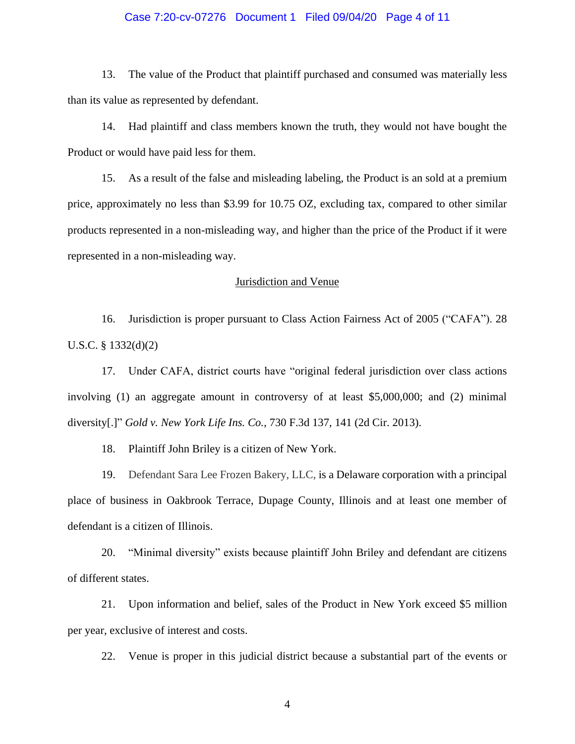#### Case 7:20-cv-07276 Document 1 Filed 09/04/20 Page 4 of 11

13. The value of the Product that plaintiff purchased and consumed was materially less than its value as represented by defendant.

14. Had plaintiff and class members known the truth, they would not have bought the Product or would have paid less for them.

15. As a result of the false and misleading labeling, the Product is an sold at a premium price, approximately no less than \$3.99 for 10.75 OZ, excluding tax, compared to other similar products represented in a non-misleading way, and higher than the price of the Product if it were represented in a non-misleading way.

#### Jurisdiction and Venue

16. Jurisdiction is proper pursuant to Class Action Fairness Act of 2005 ("CAFA"). 28 U.S.C. § 1332(d)(2)

17. Under CAFA, district courts have "original federal jurisdiction over class actions involving (1) an aggregate amount in controversy of at least \$5,000,000; and (2) minimal diversity[.]" *Gold v. New York Life Ins. Co.*, 730 F.3d 137, 141 (2d Cir. 2013).

18. Plaintiff John Briley is a citizen of New York.

19. Defendant Sara Lee Frozen Bakery, LLC, is a Delaware corporation with a principal place of business in Oakbrook Terrace, Dupage County, Illinois and at least one member of defendant is a citizen of Illinois.

20. "Minimal diversity" exists because plaintiff John Briley and defendant are citizens of different states.

21. Upon information and belief, sales of the Product in New York exceed \$5 million per year, exclusive of interest and costs.

22. Venue is proper in this judicial district because a substantial part of the events or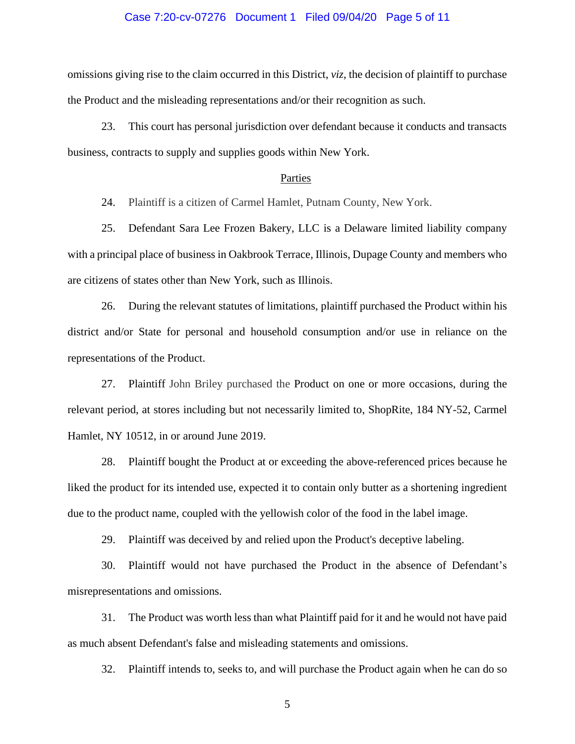#### Case 7:20-cv-07276 Document 1 Filed 09/04/20 Page 5 of 11

omissions giving rise to the claim occurred in this District, *viz*, the decision of plaintiff to purchase the Product and the misleading representations and/or their recognition as such.

23. This court has personal jurisdiction over defendant because it conducts and transacts business, contracts to supply and supplies goods within New York.

#### Parties

24. Plaintiff is a citizen of Carmel Hamlet, Putnam County, New York.

25. Defendant Sara Lee Frozen Bakery, LLC is a Delaware limited liability company with a principal place of business in Oakbrook Terrace, Illinois, Dupage County and members who are citizens of states other than New York, such as Illinois.

26. During the relevant statutes of limitations, plaintiff purchased the Product within his district and/or State for personal and household consumption and/or use in reliance on the representations of the Product.

27. Plaintiff John Briley purchased the Product on one or more occasions, during the relevant period, at stores including but not necessarily limited to, ShopRite, 184 NY-52, Carmel Hamlet, NY 10512, in or around June 2019.

28. Plaintiff bought the Product at or exceeding the above-referenced prices because he liked the product for its intended use, expected it to contain only butter as a shortening ingredient due to the product name, coupled with the yellowish color of the food in the label image.

29. Plaintiff was deceived by and relied upon the Product's deceptive labeling.

30. Plaintiff would not have purchased the Product in the absence of Defendant's misrepresentations and omissions.

31. The Product was worth less than what Plaintiff paid for it and he would not have paid as much absent Defendant's false and misleading statements and omissions.

32. Plaintiff intends to, seeks to, and will purchase the Product again when he can do so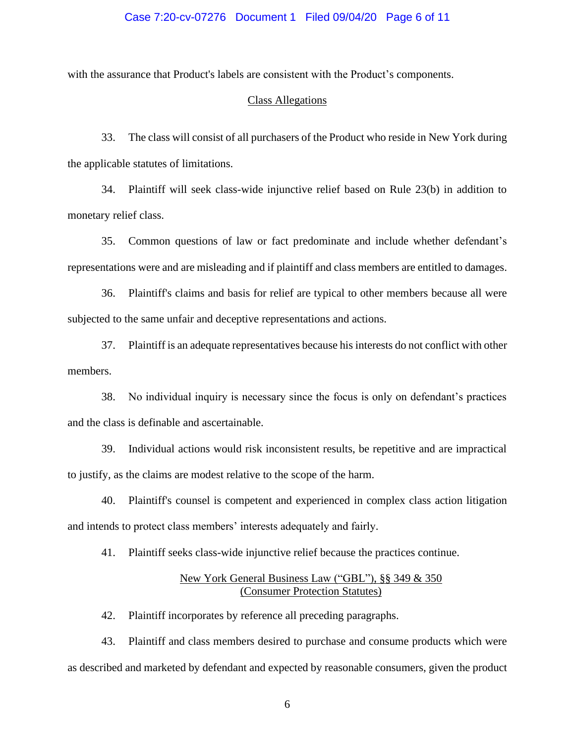#### Case 7:20-cv-07276 Document 1 Filed 09/04/20 Page 6 of 11

with the assurance that Product's labels are consistent with the Product's components.

#### Class Allegations

33. The class will consist of all purchasers of the Product who reside in New York during the applicable statutes of limitations.

34. Plaintiff will seek class-wide injunctive relief based on Rule 23(b) in addition to monetary relief class.

35. Common questions of law or fact predominate and include whether defendant's representations were and are misleading and if plaintiff and class members are entitled to damages.

36. Plaintiff's claims and basis for relief are typical to other members because all were subjected to the same unfair and deceptive representations and actions.

37. Plaintiff is an adequate representatives because his interests do not conflict with other members.

38. No individual inquiry is necessary since the focus is only on defendant's practices and the class is definable and ascertainable.

39. Individual actions would risk inconsistent results, be repetitive and are impractical to justify, as the claims are modest relative to the scope of the harm.

40. Plaintiff's counsel is competent and experienced in complex class action litigation and intends to protect class members' interests adequately and fairly.

41. Plaintiff seeks class-wide injunctive relief because the practices continue.

## New York General Business Law ("GBL"), §§ 349 & 350 (Consumer Protection Statutes)

42. Plaintiff incorporates by reference all preceding paragraphs.

43. Plaintiff and class members desired to purchase and consume products which were as described and marketed by defendant and expected by reasonable consumers, given the product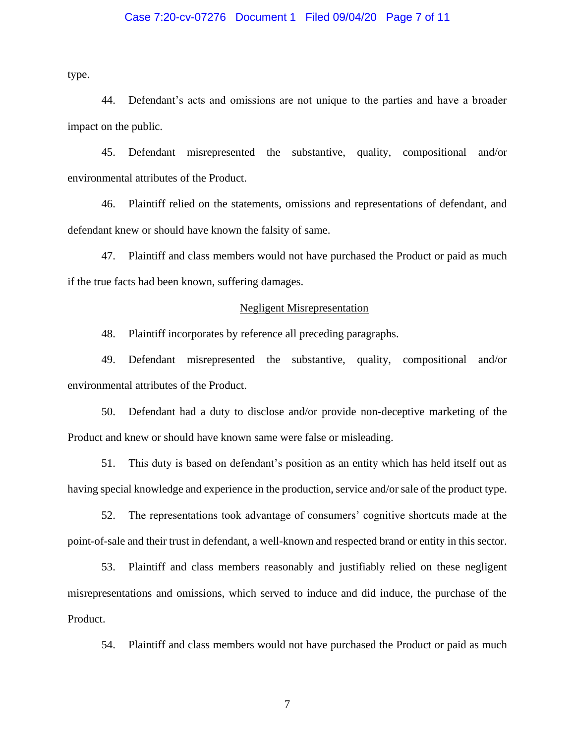#### Case 7:20-cv-07276 Document 1 Filed 09/04/20 Page 7 of 11

type.

44. Defendant's acts and omissions are not unique to the parties and have a broader impact on the public.

45. Defendant misrepresented the substantive, quality, compositional and/or environmental attributes of the Product.

46. Plaintiff relied on the statements, omissions and representations of defendant, and defendant knew or should have known the falsity of same.

47. Plaintiff and class members would not have purchased the Product or paid as much if the true facts had been known, suffering damages.

#### Negligent Misrepresentation

48. Plaintiff incorporates by reference all preceding paragraphs.

49. Defendant misrepresented the substantive, quality, compositional and/or environmental attributes of the Product.

50. Defendant had a duty to disclose and/or provide non-deceptive marketing of the Product and knew or should have known same were false or misleading.

51. This duty is based on defendant's position as an entity which has held itself out as having special knowledge and experience in the production, service and/or sale of the product type.

52. The representations took advantage of consumers' cognitive shortcuts made at the point-of-sale and their trust in defendant, a well-known and respected brand or entity in this sector.

53. Plaintiff and class members reasonably and justifiably relied on these negligent misrepresentations and omissions, which served to induce and did induce, the purchase of the Product.

54. Plaintiff and class members would not have purchased the Product or paid as much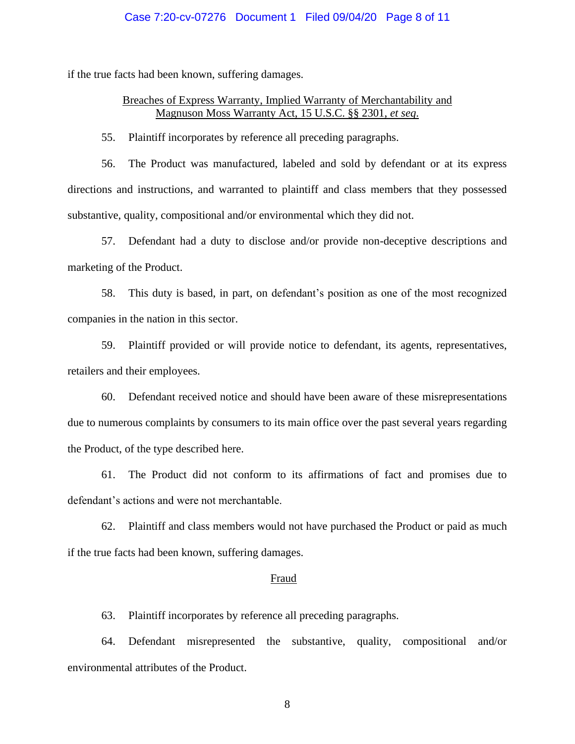#### Case 7:20-cv-07276 Document 1 Filed 09/04/20 Page 8 of 11

if the true facts had been known, suffering damages.

## Breaches of Express Warranty, Implied Warranty of Merchantability and Magnuson Moss Warranty Act, 15 U.S.C. §§ 2301, *et seq*.

55. Plaintiff incorporates by reference all preceding paragraphs.

56. The Product was manufactured, labeled and sold by defendant or at its express directions and instructions, and warranted to plaintiff and class members that they possessed substantive, quality, compositional and/or environmental which they did not.

57. Defendant had a duty to disclose and/or provide non-deceptive descriptions and marketing of the Product.

58. This duty is based, in part, on defendant's position as one of the most recognized companies in the nation in this sector.

59. Plaintiff provided or will provide notice to defendant, its agents, representatives, retailers and their employees.

60. Defendant received notice and should have been aware of these misrepresentations due to numerous complaints by consumers to its main office over the past several years regarding the Product, of the type described here.

61. The Product did not conform to its affirmations of fact and promises due to defendant's actions and were not merchantable.

62. Plaintiff and class members would not have purchased the Product or paid as much if the true facts had been known, suffering damages.

#### Fraud

63. Plaintiff incorporates by reference all preceding paragraphs.

64. Defendant misrepresented the substantive, quality, compositional and/or environmental attributes of the Product.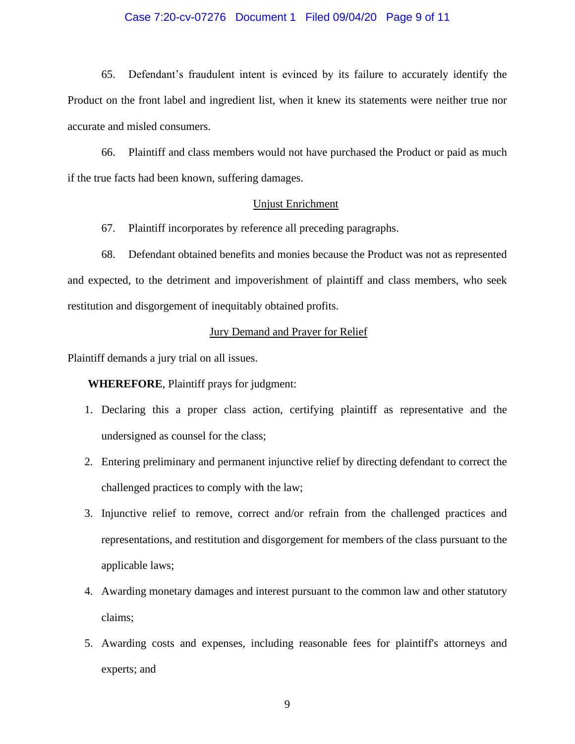#### Case 7:20-cv-07276 Document 1 Filed 09/04/20 Page 9 of 11

65. Defendant's fraudulent intent is evinced by its failure to accurately identify the Product on the front label and ingredient list, when it knew its statements were neither true nor accurate and misled consumers.

66. Plaintiff and class members would not have purchased the Product or paid as much if the true facts had been known, suffering damages.

#### Unjust Enrichment

67. Plaintiff incorporates by reference all preceding paragraphs.

68. Defendant obtained benefits and monies because the Product was not as represented and expected, to the detriment and impoverishment of plaintiff and class members, who seek restitution and disgorgement of inequitably obtained profits.

### Jury Demand and Prayer for Relief

Plaintiff demands a jury trial on all issues.

**WHEREFORE**, Plaintiff prays for judgment:

- 1. Declaring this a proper class action, certifying plaintiff as representative and the undersigned as counsel for the class;
- 2. Entering preliminary and permanent injunctive relief by directing defendant to correct the challenged practices to comply with the law;
- 3. Injunctive relief to remove, correct and/or refrain from the challenged practices and representations, and restitution and disgorgement for members of the class pursuant to the applicable laws;
- 4. Awarding monetary damages and interest pursuant to the common law and other statutory claims;
- 5. Awarding costs and expenses, including reasonable fees for plaintiff's attorneys and experts; and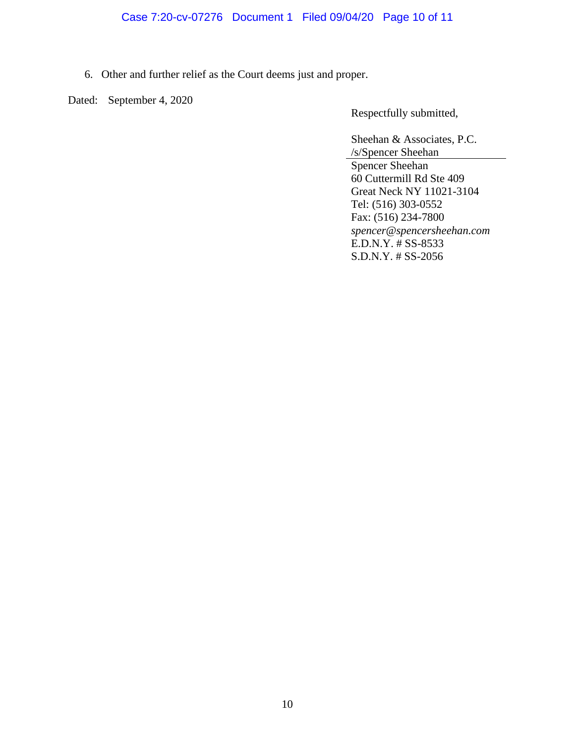# Case 7:20-cv-07276 Document 1 Filed 09/04/20 Page 10 of 11

6. Other and further relief as the Court deems just and proper.

Dated: September 4, 2020

Respectfully submitted,

Sheehan & Associates, P.C. /s/Spencer Sheehan Spencer Sheehan 60 Cuttermill Rd Ste 409 Great Neck NY 11021-3104 Tel: (516) 303-0552 Fax: (516) 234-7800 *spencer@spencersheehan.com* E.D.N.Y. # SS-8533 S.D.N.Y. # SS-2056